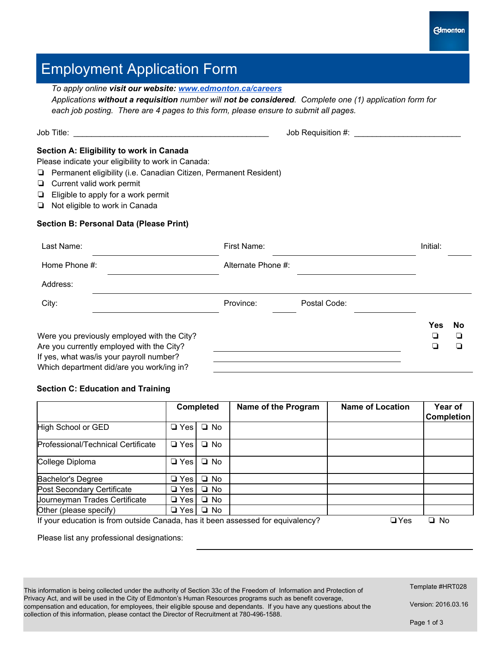# Employment Application Form

| To apply online visit our website: www.edmonton.ca/careers                                                                                                                                                                                                                                                                                        | Applications without a requisition number will not be considered. Complete one (1) application form for<br>each job posting. There are 4 pages to this form, please ensure to submit all pages. |                                      |
|---------------------------------------------------------------------------------------------------------------------------------------------------------------------------------------------------------------------------------------------------------------------------------------------------------------------------------------------------|-------------------------------------------------------------------------------------------------------------------------------------------------------------------------------------------------|--------------------------------------|
|                                                                                                                                                                                                                                                                                                                                                   | Job Requisition #: \\essequisition #:                                                                                                                                                           |                                      |
| Section A: Eligibility to work in Canada<br>Please indicate your eligibility to work in Canada:<br>Permanent eligibility (i.e. Canadian Citizen, Permanent Resident)<br>$\Box$ Current valid work permit<br>$\Box$ Eligible to apply for a work permit<br>$\Box$ Not eligible to work in Canada<br><b>Section B: Personal Data (Please Print)</b> |                                                                                                                                                                                                 |                                      |
| Last Name:                                                                                                                                                                                                                                                                                                                                        | First Name:                                                                                                                                                                                     | Initial:                             |
| Home Phone #:                                                                                                                                                                                                                                                                                                                                     | Alternate Phone #:                                                                                                                                                                              |                                      |
| Address:                                                                                                                                                                                                                                                                                                                                          |                                                                                                                                                                                                 |                                      |
| City:                                                                                                                                                                                                                                                                                                                                             | Province:<br>Postal Code:                                                                                                                                                                       |                                      |
| Were you previously employed with the City?<br>Are you currently employed with the City?<br>$\mathbf{H}$ and $\mathbf{H}$ and $\mathbf{H}$ are the set of the set of $\mathbf{H}$ and $\mathbf{H}$ are the set of $\mathbf{H}$                                                                                                                    |                                                                                                                                                                                                 | Yes<br><b>No</b><br>◘<br>❏<br>◘<br>❏ |

If yes, what was/is your payroll number? Which department did/are you work/ing in?

## **Section C: Education and Training**

|                                                                                                            |            | <b>Completed</b> | Name of the Program | <b>Name of Location</b> | Year of<br><b>Completion</b> |  |
|------------------------------------------------------------------------------------------------------------|------------|------------------|---------------------|-------------------------|------------------------------|--|
| High School or GED                                                                                         | $\Box$ Yes | $\Box$ No        |                     |                         |                              |  |
| Professional/Technical Certificate                                                                         | $\Box$ Yes | $\Box$ No        |                     |                         |                              |  |
| College Diploma                                                                                            | $\Box$ Yes | $\Box$ No        |                     |                         |                              |  |
| Bachelor's Degree                                                                                          | $\Box$ Yes | $\Box$ No        |                     |                         |                              |  |
| Post Secondary Certificate                                                                                 | $\Box$ Yes | $\Box$ No        |                     |                         |                              |  |
| Journeyman Trades Certificate                                                                              | $\Box$ Yes | $\Box$ No        |                     |                         |                              |  |
| Other (please specify)                                                                                     | $\Box$ Yes | $\Box$ No        |                     |                         |                              |  |
| If your education is from outside Canada, has it been assessed for equivalency?<br>$\Box$ Yes<br>$\Box$ No |            |                  |                     |                         |                              |  |

Please list any professional designations:

This information is being collected under the authority of Section 33c of the Freedom of Information and Protection of Privacy Act, and will be used in the City of Edmonton's Human Resources programs such as benefit coverage, compensation and education, for employees, their eligible spouse and dependants. If you have any questions about the collection of this information, please contact the Director of Recruitment at 780-496-1588.

Template #HRT028

Version: 2016.03.16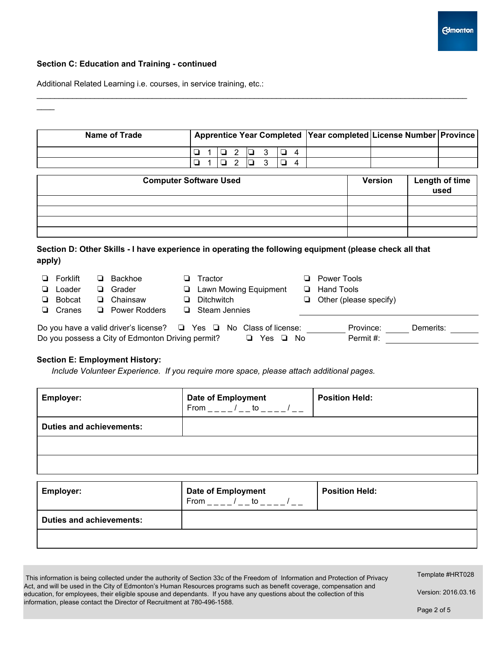

### **Section C: Education and Training continued**

 $\mathcal{L}$ 

Additional Related Learning i.e. courses, in service training, etc.:

| Name of Trade | Apprentice Year Completed   Year completed   License Number   Province |  |  |           |                                     |  |  |  |
|---------------|------------------------------------------------------------------------|--|--|-----------|-------------------------------------|--|--|--|
|               |                                                                        |  |  |           | $\Box$ 1 $\Box$ 2 $\Box$ 3 $\Box$ 4 |  |  |  |
|               |                                                                        |  |  | 1 Q 2 Q D |                                     |  |  |  |

 $\mathcal{L}_\mathcal{L} = \{ \mathcal{L}_\mathcal{L} = \{ \mathcal{L}_\mathcal{L} = \{ \mathcal{L}_\mathcal{L} = \{ \mathcal{L}_\mathcal{L} = \{ \mathcal{L}_\mathcal{L} = \{ \mathcal{L}_\mathcal{L} = \{ \mathcal{L}_\mathcal{L} = \{ \mathcal{L}_\mathcal{L} = \{ \mathcal{L}_\mathcal{L} = \{ \mathcal{L}_\mathcal{L} = \{ \mathcal{L}_\mathcal{L} = \{ \mathcal{L}_\mathcal{L} = \{ \mathcal{L}_\mathcal{L} = \{ \mathcal{L}_\mathcal{$ 

| <b>Computer Software Used</b> | <b>Version</b> | Length of time<br>used |
|-------------------------------|----------------|------------------------|
|                               |                |                        |
|                               |                |                        |
|                               |                |                        |
|                               |                |                        |

## **Section D: Other Skills I have experience in operating the following equipment (please check all that apply)**

| $\Box$ Forklift | ❏ | Backhoe                                                                            | Tractor              |                                | <b>Power Tools</b>            |           |  |
|-----------------|---|------------------------------------------------------------------------------------|----------------------|--------------------------------|-------------------------------|-----------|--|
| $\Box$ Loader   | ❏ | Grader                                                                             |                      | <b>E</b> Lawn Mowing Equipment | <b>E</b> Hand Tools           |           |  |
| $\Box$ Bobcat   | ❏ | Chainsaw                                                                           | $\Box$ Ditchwitch    |                                | $\Box$ Other (please specify) |           |  |
| $\Box$ Cranes   | □ | Power Rodders                                                                      | $\Box$ Steam Jennies |                                |                               |           |  |
|                 |   | Do you have a valid driver's license? $\square$ Yes $\square$ No Class of license: |                      |                                | Province:                     | Demerits: |  |
|                 |   | Do you possess a City of Edmonton Driving permit?                                  |                      | Yes ❏ No<br>□                  | Permit#:                      |           |  |

## **Section E: Employment History:**

*Include Volunteer Experience. If you require more space, please attach additional pages.*

| <b>Employer:</b>                | <b>Date of Employment</b><br>From / to | <b>Position Held:</b> |
|---------------------------------|----------------------------------------|-----------------------|
| <b>Duties and achievements:</b> |                                        |                       |
|                                 |                                        |                       |
|                                 |                                        |                       |

| <b>Employer:</b>                | <b>Date of Employment</b><br>to<br>From | <b>Position Held:</b> |
|---------------------------------|-----------------------------------------|-----------------------|
| <b>Duties and achievements:</b> |                                         |                       |
|                                 |                                         |                       |

| This information is being collected under the authority of Section 33c of the Freedom of Information and Protection of Privacy |
|--------------------------------------------------------------------------------------------------------------------------------|
| Act, and will be used in the City of Edmonton's Human Resources programs such as benefit coverage, compensation and            |
| education, for employees, their eligible spouse and dependants. If you have any questions about the collection of this         |
| information, please contact the Director of Recruitment at 780-496-1588.                                                       |

Template #HRT028

Version: 2016.03.16

Page 2 of 5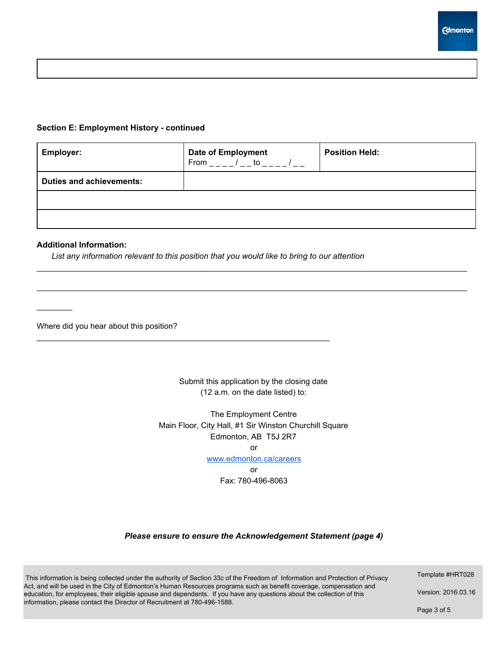### **Section E: Employment History continued**

| <b>Employer:</b>                | <b>Date of Employment</b><br>From / to / | <b>Position Held:</b> |
|---------------------------------|------------------------------------------|-----------------------|
| <b>Duties and achievements:</b> |                                          |                       |
|                                 |                                          |                       |
|                                 |                                          |                       |

 $\mathcal{L}_\mathcal{L} = \{ \mathcal{L}_\mathcal{L} = \{ \mathcal{L}_\mathcal{L} = \{ \mathcal{L}_\mathcal{L} = \{ \mathcal{L}_\mathcal{L} = \{ \mathcal{L}_\mathcal{L} = \{ \mathcal{L}_\mathcal{L} = \{ \mathcal{L}_\mathcal{L} = \{ \mathcal{L}_\mathcal{L} = \{ \mathcal{L}_\mathcal{L} = \{ \mathcal{L}_\mathcal{L} = \{ \mathcal{L}_\mathcal{L} = \{ \mathcal{L}_\mathcal{L} = \{ \mathcal{L}_\mathcal{L} = \{ \mathcal{L}_\mathcal{$ 

 $\mathcal{L}_\mathcal{L} = \{ \mathcal{L}_\mathcal{L} = \{ \mathcal{L}_\mathcal{L} = \{ \mathcal{L}_\mathcal{L} = \{ \mathcal{L}_\mathcal{L} = \{ \mathcal{L}_\mathcal{L} = \{ \mathcal{L}_\mathcal{L} = \{ \mathcal{L}_\mathcal{L} = \{ \mathcal{L}_\mathcal{L} = \{ \mathcal{L}_\mathcal{L} = \{ \mathcal{L}_\mathcal{L} = \{ \mathcal{L}_\mathcal{L} = \{ \mathcal{L}_\mathcal{L} = \{ \mathcal{L}_\mathcal{L} = \{ \mathcal{L}_\mathcal{$ 

#### **Additional Information:**

 $\frac{1}{2}$ 

*List any information relevant to this position that you would like to bring to our attention*

 $\mathcal{L}_\mathcal{L} = \{ \mathcal{L}_\mathcal{L} = \{ \mathcal{L}_\mathcal{L} = \{ \mathcal{L}_\mathcal{L} = \{ \mathcal{L}_\mathcal{L} = \{ \mathcal{L}_\mathcal{L} = \{ \mathcal{L}_\mathcal{L} = \{ \mathcal{L}_\mathcal{L} = \{ \mathcal{L}_\mathcal{L} = \{ \mathcal{L}_\mathcal{L} = \{ \mathcal{L}_\mathcal{L} = \{ \mathcal{L}_\mathcal{L} = \{ \mathcal{L}_\mathcal{L} = \{ \mathcal{L}_\mathcal{L} = \{ \mathcal{L}_\mathcal{$ 

Where did you hear about this position?

Submit this application by the closing date (12 a.m. on the date listed) to:

The Employment Centre Main Floor, City Hall, #1 Sir Winston Churchill Square Edmonton, AB T5J 2R7 or

[www.edmonton.ca/careers](http://www.edmonton.ca/careers)

or Fax: 780-496-8063

#### *Please ensure to ensure the Acknowledgement Statement (page 4)*

This information is being collected under the authority of Section 33c of the Freedom of Information and Protection of Privacy Act, and will be used in the City of Edmonton's Human Resources programs such as benefit coverage, compensation and education, for employees, their eligible spouse and dependants. If you have any questions about the collection of this information, please contact the Director of Recruitment at 780-496-1588.

Template #HRT028

Version: 2016.03.16

Page 3 of 5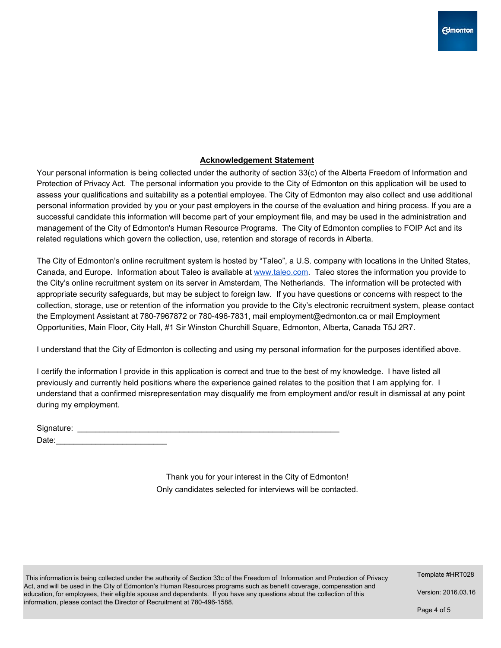## **Acknowledgement Statement**

Your personal information is being collected under the authority of section 33(c) of the Alberta Freedom of Information and Protection of Privacy Act. The personal information you provide to the City of Edmonton on this application will be used to assess your qualifications and suitability as a potential employee. The City of Edmonton may also collect and use additional personal information provided by you or your past employers in the course of the evaluation and hiring process. If you are a successful candidate this information will become part of your employment file, and may be used in the administration and management of the City of Edmonton's Human Resource Programs. The City of Edmonton complies to FOIP Act and its related regulations which govern the collection, use, retention and storage of records in Alberta.

The City of Edmonton's online recruitment system is hosted by "Taleo", a U.S. company with locations in the United States, Canada, and Europe. Information about Taleo is available at [www.taleo.com.](http://www.taleo.com/) Taleo stores the information you provide to the City's online recruitment system on its server in Amsterdam, The Netherlands. The information will be protected with appropriate security safeguards, but may be subject to foreign law. If you have questions or concerns with respect to the collection, storage, use or retention of the information you provide to the City's electronic recruitment system, please contact the Employment Assistant at 780-7967872 or 780-496-7831, mail employment@edmonton.ca or mail Employment Opportunities, Main Floor, City Hall, #1 Sir Winston Churchill Square, Edmonton, Alberta, Canada T5J 2R7.

I understand that the City of Edmonton is collecting and using my personal information for the purposes identified above.

I certify the information I provide in this application is correct and true to the best of my knowledge. I have listed all previously and currently held positions where the experience gained relates to the position that I am applying for. I understand that a confirmed misrepresentation may disqualify me from employment and/or result in dismissal at any point during my employment.

| Signature: |  |  |
|------------|--|--|
| Date:      |  |  |

Thank you for your interest in the City of Edmonton! Only candidates selected for interviews will be contacted.

This information is being collected under the authority of Section 33c of the Freedom of Information and Protection of Privacy Act, and will be used in the City of Edmonton's Human Resources programs such as benefit coverage, compensation and education, for employees, their eligible spouse and dependants. If you have any questions about the collection of this information, please contact the Director of Recruitment at 780-496-1588.

Template #HRT028

Version: 2016.03.16

Page 4 of 5